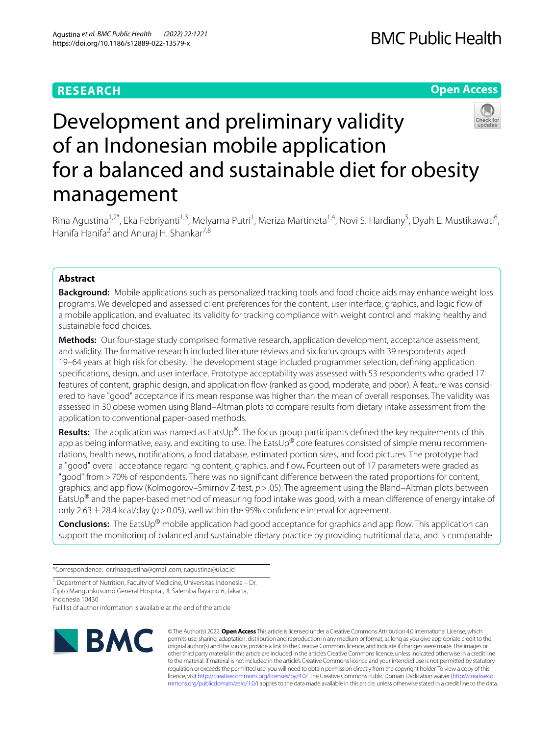# **RESEARCH**

# **Open Access**



# Development and preliminary validity of an Indonesian mobile application for a balanced and sustainable diet for obesity management

Rina Agustina<sup>1,2\*</sup>, Eka Febriyanti<sup>1,3</sup>, Melyarna Putri<sup>1</sup>, Meriza Martineta<sup>1,4</sup>, Novi S. Hardiany<sup>5</sup>, Dyah E. Mustikawati<sup>6</sup>, Hanifa Hanifa<sup>2</sup> and Anurai H. Shankar<sup>7,8</sup>

# **Abstract**

**Background:** Mobile applications such as personalized tracking tools and food choice aids may enhance weight loss programs. We developed and assessed client preferences for the content, user interface, graphics, and logic fow of a mobile application, and evaluated its validity for tracking compliance with weight control and making healthy and sustainable food choices.

**Methods:** Our four-stage study comprised formative research, application development, acceptance assessment, and validity. The formative research included literature reviews and six focus groups with 39 respondents aged 19–64 years at high risk for obesity. The development stage included programmer selection, defning application specifcations, design, and user interface. Prototype acceptability was assessed with 53 respondents who graded 17 features of content, graphic design, and application fow (ranked as good, moderate, and poor). A feature was considered to have "good" acceptance if its mean response was higher than the mean of overall responses. The validity was assessed in 30 obese women using Bland–Altman plots to compare results from dietary intake assessment from the application to conventional paper-based methods.

**Results:** The application was named as EatsUp®. The focus group participants defned the key requirements of this app as being informative, easy, and exciting to use. The EatsUp® core features consisted of simple menu recommendations, health news, notifcations, a food database, estimated portion sizes, and food pictures. The prototype had a "good" overall acceptance regarding content, graphics, and fow**.** Fourteen out of 17 parameters were graded as "good" from > 70% of respondents. There was no significant difference between the rated proportions for content, graphics, and app fow (Kolmogorov–Smirnov Z-test, *p*>.05). The agreement using the Bland–Altman plots between EatsUp® and the paper-based method of measuring food intake was good, with a mean diference of energy intake of only 2.63 $\pm$ 28.4 kcal/day ( $p > 0.05$ ), well within the 95% confidence interval for agreement.

**Conclusions:** The EatsUp<sup>®</sup> mobile application had good acceptance for graphics and app flow. This application can support the monitoring of balanced and sustainable dietary practice by providing nutritional data, and is comparable

\*Correspondence: dr.rinaagustina@gmail.com; r.agustina@ui.ac.id

<sup>1</sup> Department of Nutrition, Faculty of Medicine, Universitas Indonesia - Dr. Cipto Mangunkusumo General Hospital, Jl, Salemba Raya no 6, Jakarta, Indonesia 10430

Full list of author information is available at the end of the article



© The Author(s) 2022. **Open Access** This article is licensed under a Creative Commons Attribution 4.0 International License, which permits use, sharing, adaptation, distribution and reproduction in any medium or format, as long as you give appropriate credit to the original author(s) and the source, provide a link to the Creative Commons licence, and indicate if changes were made. The images or other third party material in this article are included in the article's Creative Commons licence, unless indicated otherwise in a credit line to the material. If material is not included in the article's Creative Commons licence and your intended use is not permitted by statutory regulation or exceeds the permitted use, you will need to obtain permission directly from the copyright holder. To view a copy of this licence, visit [http://creativecommons.org/licenses/by/4.0/.](http://creativecommons.org/licenses/by/4.0/) The Creative Commons Public Domain Dedication waiver ([http://creativeco](http://creativecommons.org/publicdomain/zero/1.0/) [mmons.org/publicdomain/zero/1.0/](http://creativecommons.org/publicdomain/zero/1.0/)) applies to the data made available in this article, unless otherwise stated in a credit line to the data.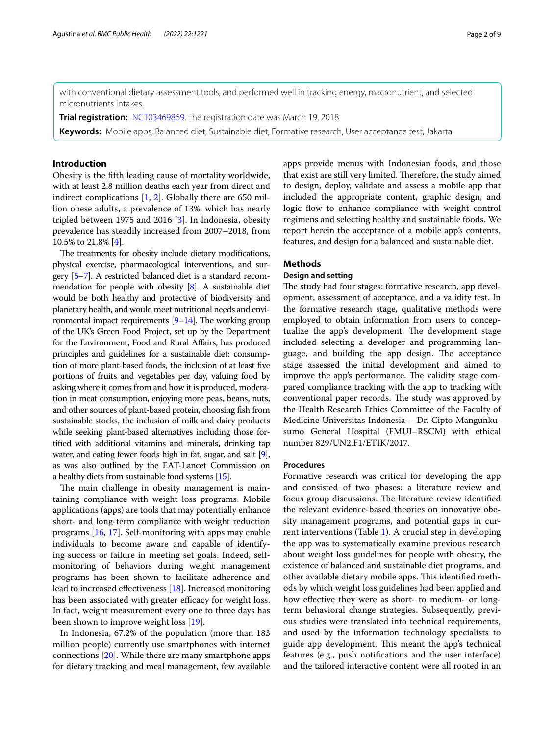with conventional dietary assessment tools, and performed well in tracking energy, macronutrient, and selected micronutrients intakes.

**Trial registration:** [NCT03469869](https://clinicaltrials.gov/ct2/show/NCT03469869). The registration date was March 19, 2018. **Keywords:** Mobile apps, Balanced diet, Sustainable diet, Formative research, User acceptance test, Jakarta

#### **Introduction**

Obesity is the ffth leading cause of mortality worldwide, with at least 2.8 million deaths each year from direct and indirect complications [\[1](#page-7-0), [2](#page-7-1)]. Globally there are 650 million obese adults, a prevalence of 13%, which has nearly tripled between 1975 and 2016 [[3\]](#page-7-2). In Indonesia, obesity prevalence has steadily increased from 2007–2018, from 10.5% to 21.8% [[4\]](#page-7-3).

The treatments for obesity include dietary modifications, physical exercise, pharmacological interventions, and surgery [[5](#page-7-4)[–7\]](#page-7-5). A restricted balanced diet is a standard recommendation for people with obesity [\[8\]](#page-7-6). A sustainable diet would be both healthy and protective of biodiversity and planetary health, and would meet nutritional needs and environmental impact requirements  $[9-14]$  $[9-14]$  $[9-14]$  $[9-14]$ . The working group of the UK's Green Food Project, set up by the Department for the Environment, Food and Rural Afairs, has produced principles and guidelines for a sustainable diet: consumption of more plant-based foods, the inclusion of at least fve portions of fruits and vegetables per day, valuing food by asking where it comes from and how it is produced, moderation in meat consumption, enjoying more peas, beans, nuts, and other sources of plant-based protein, choosing fsh from sustainable stocks, the inclusion of milk and dairy products while seeking plant-based alternatives including those fortifed with additional vitamins and minerals, drinking tap water, and eating fewer foods high in fat, sugar, and salt [[9](#page-7-7)], as was also outlined by the EAT-Lancet Commission on a healthy diets from sustainable food systems [[15\]](#page-7-9).

The main challenge in obesity management is maintaining compliance with weight loss programs. Mobile applications (apps) are tools that may potentially enhance short- and long-term compliance with weight reduction programs [[16,](#page-7-10) [17](#page-7-11)]. Self-monitoring with apps may enable individuals to become aware and capable of identifying success or failure in meeting set goals. Indeed, selfmonitoring of behaviors during weight management programs has been shown to facilitate adherence and lead to increased efectiveness [[18\]](#page-7-12). Increased monitoring has been associated with greater efficacy for weight loss. In fact, weight measurement every one to three days has been shown to improve weight loss [\[19](#page-7-13)].

In Indonesia, 67.2% of the population (more than 183 million people) currently use smartphones with internet connections [[20\]](#page-7-14). While there are many smartphone apps for dietary tracking and meal management, few available apps provide menus with Indonesian foods, and those that exist are still very limited. Therefore, the study aimed to design, deploy, validate and assess a mobile app that included the appropriate content, graphic design, and logic flow to enhance compliance with weight control regimens and selecting healthy and sustainable foods. We report herein the acceptance of a mobile app's contents, features, and design for a balanced and sustainable diet.

## **Methods**

#### **Design and setting**

The study had four stages: formative research, app development, assessment of acceptance, and a validity test. In the formative research stage, qualitative methods were employed to obtain information from users to conceptualize the app's development. The development stage included selecting a developer and programming language, and building the app design. The acceptance stage assessed the initial development and aimed to improve the app's performance. The validity stage compared compliance tracking with the app to tracking with conventional paper records. The study was approved by the Health Research Ethics Committee of the Faculty of Medicine Universitas Indonesia – Dr. Cipto Mangunkusumo General Hospital (FMUI–RSCM) with ethical number 829/UN2.F1/ETIK/2017.

#### **Procedures**

Formative research was critical for developing the app and consisted of two phases: a literature review and focus group discussions. The literature review identified the relevant evidence-based theories on innovative obesity management programs, and potential gaps in current interventions (Table [1\)](#page-2-0). A crucial step in developing the app was to systematically examine previous research about weight loss guidelines for people with obesity, the existence of balanced and sustainable diet programs, and other available dietary mobile apps. This identified methods by which weight loss guidelines had been applied and how efective they were as short- to medium- or longterm behavioral change strategies. Subsequently, previous studies were translated into technical requirements, and used by the information technology specialists to guide app development. This meant the app's technical features (e.g., push notifcations and the user interface) and the tailored interactive content were all rooted in an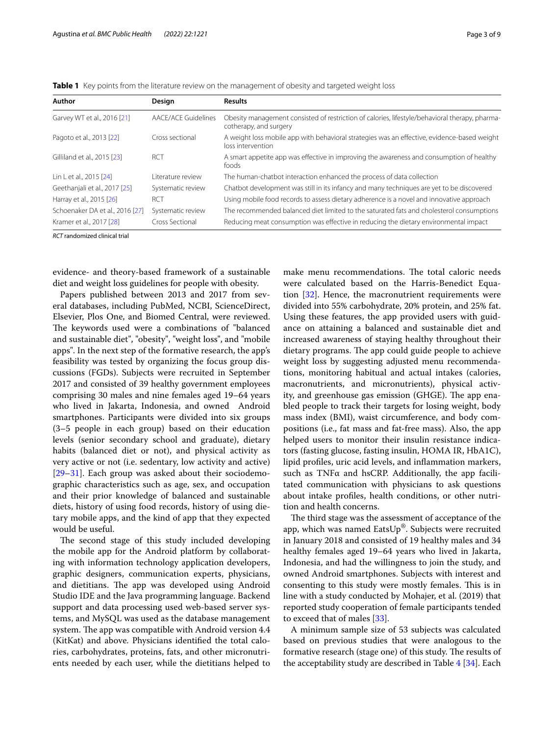| Author                          | Design              | <b>Results</b>                                                                                                           |
|---------------------------------|---------------------|--------------------------------------------------------------------------------------------------------------------------|
| Garvey WT et al., 2016 [21]     | AACE/ACE Guidelines | Obesity management consisted of restriction of calories, lifestyle/behavioral therapy, pharma-<br>cotherapy, and surgery |
| Pagoto et al., 2013 [22]        | Cross sectional     | A weight loss mobile app with behavioral strategies was an effective, evidence-based weight<br>loss intervention         |
| Gilliland et al., 2015 [23]     | RCT                 | A smart appetite app was effective in improving the awareness and consumption of healthy<br>foods                        |
| Lin L et al., 2015 [24]         | Literature review   | The human-chatbot interaction enhanced the process of data collection                                                    |
| Geethaniali et al., 2017 [25]   | Systematic review   | Chatbot development was still in its infancy and many techniques are yet to be discovered                                |
| Harray et al., 2015 [26]        | <b>RCT</b>          | Using mobile food records to assess dietary adherence is a novel and innovative approach                                 |
| Schoenaker DA et al., 2016 [27] | Systematic review   | The recommended balanced diet limited to the saturated fats and cholesterol consumptions                                 |
| Kramer et al., 2017 [28]        | Cross Sectional     | Reducing meat consumption was effective in reducing the dietary environmental impact                                     |

<span id="page-2-0"></span>**Table 1** Key points from the literature review on the management of obesity and targeted weight loss

*RCT* randomized clinical trial

evidence- and theory-based framework of a sustainable diet and weight loss guidelines for people with obesity.

Papers published between 2013 and 2017 from several databases, including PubMed, NCBI, ScienceDirect, Elsevier, Plos One, and Biomed Central, were reviewed. The keywords used were a combinations of "balanced" and sustainable diet", "obesity", "weight loss", and "mobile apps". In the next step of the formative research, the app's feasibility was tested by organizing the focus group discussions (FGDs). Subjects were recruited in September 2017 and consisted of 39 healthy government employees comprising 30 males and nine females aged 19–64 years who lived in Jakarta, Indonesia, and owned Android smartphones. Participants were divided into six groups (3–5 people in each group) based on their education levels (senior secondary school and graduate), dietary habits (balanced diet or not), and physical activity as very active or not (i.e. sedentary, low activity and active) [[29–](#page-8-0)[31](#page-8-1)]. Each group was asked about their sociodemographic characteristics such as age, sex, and occupation and their prior knowledge of balanced and sustainable diets, history of using food records, history of using dietary mobile apps, and the kind of app that they expected would be useful.

The second stage of this study included developing the mobile app for the Android platform by collaborating with information technology application developers, graphic designers, communication experts, physicians, and dietitians. The app was developed using Android Studio IDE and the Java programming language. Backend support and data processing used web-based server systems, and MySQL was used as the database management system. The app was compatible with Android version 4.4 (KitKat) and above. Physicians identifed the total calories, carbohydrates, proteins, fats, and other micronutrients needed by each user, while the dietitians helped to make menu recommendations. The total caloric needs were calculated based on the Harris-Benedict Equation [\[32](#page-8-2)]. Hence, the macronutrient requirements were divided into 55% carbohydrate, 20% protein, and 25% fat. Using these features, the app provided users with guidance on attaining a balanced and sustainable diet and increased awareness of staying healthy throughout their dietary programs. The app could guide people to achieve weight loss by suggesting adjusted menu recommendations, monitoring habitual and actual intakes (calories, macronutrients, and micronutrients), physical activity, and greenhouse gas emission (GHGE). The app enabled people to track their targets for losing weight, body mass index (BMI), waist circumference, and body compositions (i.e., fat mass and fat-free mass). Also, the app helped users to monitor their insulin resistance indicators (fasting glucose, fasting insulin, HOMA IR, HbA1C), lipid profles, uric acid levels, and infammation markers, such as  $TNF\alpha$  and hsCRP. Additionally, the app facilitated communication with physicians to ask questions about intake profles, health conditions, or other nutrition and health concerns.

The third stage was the assessment of acceptance of the app, which was named EatsUp®. Subjects were recruited in January 2018 and consisted of 19 healthy males and 34 healthy females aged 19–64 years who lived in Jakarta, Indonesia, and had the willingness to join the study, and owned Android smartphones. Subjects with interest and consenting to this study were mostly females. This is in line with a study conducted by Mohajer, et al. (2019) that reported study cooperation of female participants tended to exceed that of males [\[33](#page-8-3)].

A minimum sample size of 53 subjects was calculated based on previous studies that were analogous to the formative research (stage one) of this study. The results of the acceptability study are described in Table [4](#page-4-0) [\[34\]](#page-8-4). Each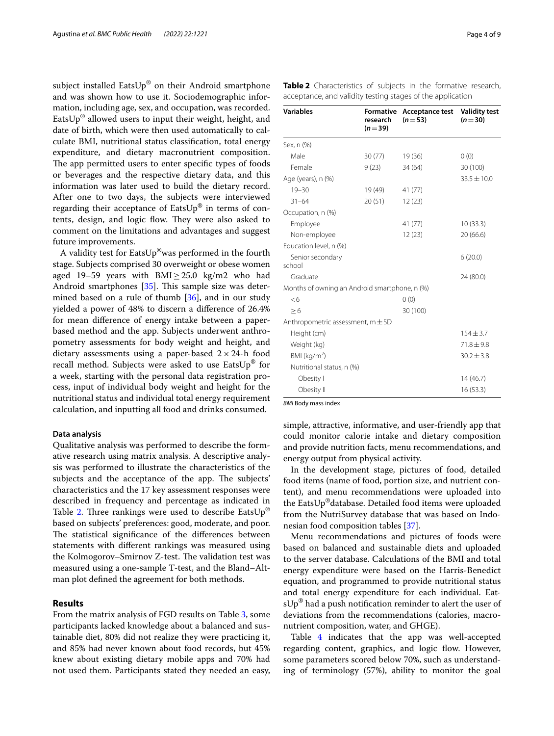subject installed Eats $Up^{\circledast}$  on their Android smartphone and was shown how to use it. Sociodemographic information, including age, sex, and occupation, was recorded. EatsUp® allowed users to input their weight, height, and date of birth, which were then used automatically to calculate BMI, nutritional status classifcation, total energy expenditure, and dietary macronutrient composition. The app permitted users to enter specific types of foods or beverages and the respective dietary data, and this information was later used to build the dietary record. After one to two days, the subjects were interviewed regarding their acceptance of EatsUp® in terms of contents, design, and logic flow. They were also asked to comment on the limitations and advantages and suggest future improvements.

A validity test for EatsUp®was performed in the fourth stage. Subjects comprised 30 overweight or obese women aged 19–59 years with BMI≥25.0 kg/m2 who had Android smartphones  $[35]$ . This sample size was deter-mined based on a rule of thumb [\[36](#page-8-8)], and in our study yielded a power of 48% to discern a diference of 26.4% for mean diference of energy intake between a paperbased method and the app. Subjects underwent anthropometry assessments for body weight and height, and dietary assessments using a paper-based  $2 \times 24$ -h food recall method. Subjects were asked to use EatsUp® for a week, starting with the personal data registration process, input of individual body weight and height for the nutritional status and individual total energy requirement calculation, and inputting all food and drinks consumed.

#### **Data analysis**

Qualitative analysis was performed to describe the formative research using matrix analysis. A descriptive analysis was performed to illustrate the characteristics of the subjects and the acceptance of the app. The subjects' characteristics and the 17 key assessment responses were described in frequency and percentage as indicated in Table [2](#page-3-0). Three rankings were used to describe EatsUp<sup>®</sup> based on subjects' preferences: good, moderate, and poor. The statistical significance of the differences between statements with diferent rankings was measured using the Kolmogorov–Smirnov Z-test. The validation test was measured using a one-sample T-test, and the Bland–Altman plot defned the agreement for both methods.

### **Results**

From the matrix analysis of FGD results on Table [3](#page-4-1), some participants lacked knowledge about a balanced and sustainable diet, 80% did not realize they were practicing it, and 85% had never known about food records, but 45% knew about existing dietary mobile apps and 70% had not used them. Participants stated they needed an easy,

<span id="page-3-0"></span>

| Table 2 Characteristics of subjects in the formative research, |  |  |  |
|----------------------------------------------------------------|--|--|--|
| acceptance, and validity testing stages of the application     |  |  |  |

| Variables                                     | <b>Formative</b><br>research<br>$(n=39)$ | Acceptance test<br>$(n=53)$ | <b>Validity test</b><br>$(n=30)$ |
|-----------------------------------------------|------------------------------------------|-----------------------------|----------------------------------|
| Sex, n (%)                                    |                                          |                             |                                  |
| Male                                          | 30(77)                                   | 19(36)                      | 0(0)                             |
| Female                                        | 9(23)                                    | 34 (64)                     | 30 (100)                         |
| Age (years), n (%)                            |                                          |                             | $33.5 \pm 10.0$                  |
| $19 - 30$                                     | 19 (49)                                  | 41(77)                      |                                  |
| $31 - 64$                                     | 20(51)                                   | 12(23)                      |                                  |
| Occupation, n (%)                             |                                          |                             |                                  |
| Employee                                      |                                          | 41 (77)                     | 10(33.3)                         |
| Non-employee                                  |                                          | 12(23)                      | 20(66.6)                         |
| Education level, n (%)                        |                                          |                             |                                  |
| Senior secondary<br>school                    |                                          |                             | 6(20.0)                          |
| Graduate                                      |                                          |                             | 24 (80.0)                        |
| Months of owning an Android smartphone, n (%) |                                          |                             |                                  |
| <6                                            |                                          | 0(0)                        |                                  |
| > 6                                           |                                          | 30 (100)                    |                                  |
| Anthropometric assessment, $m \pm SD$         |                                          |                             |                                  |
| Height (cm)                                   |                                          |                             | $154 \pm 3.7$                    |
| Weight (kg)                                   |                                          |                             | $71.8 \pm 9.8$                   |
| BMI ( $kg/m2$ )                               |                                          |                             | $30.2 \pm 3.8$                   |
| Nutritional status, n (%)                     |                                          |                             |                                  |
| Obesity I                                     |                                          |                             | 14 (46.7)                        |
| Obesity II                                    |                                          |                             | 16 (53.3)                        |

*BMI* Body mass index

simple, attractive, informative, and user-friendly app that could monitor calorie intake and dietary composition and provide nutrition facts, menu recommendations, and energy output from physical activity.

In the development stage, pictures of food, detailed food items (name of food, portion size, and nutrient content), and menu recommendations were uploaded into the EatsUp®database. Detailed food items were uploaded from the NutriSurvey database that was based on Indonesian food composition tables [\[37\]](#page-8-9).

Menu recommendations and pictures of foods were based on balanced and sustainable diets and uploaded to the server database. Calculations of the BMI and total energy expenditure were based on the Harris-Benedict equation, and programmed to provide nutritional status and total energy expenditure for each individual. Eat $sUp^{\otimes}$  had a push notification reminder to alert the user of deviations from the recommendations (calories, macronutrient composition, water, and GHGE).

Table [4](#page-4-0) indicates that the app was well-accepted regarding content, graphics, and logic flow. However, some parameters scored below 70%, such as understanding of terminology (57%), ability to monitor the goal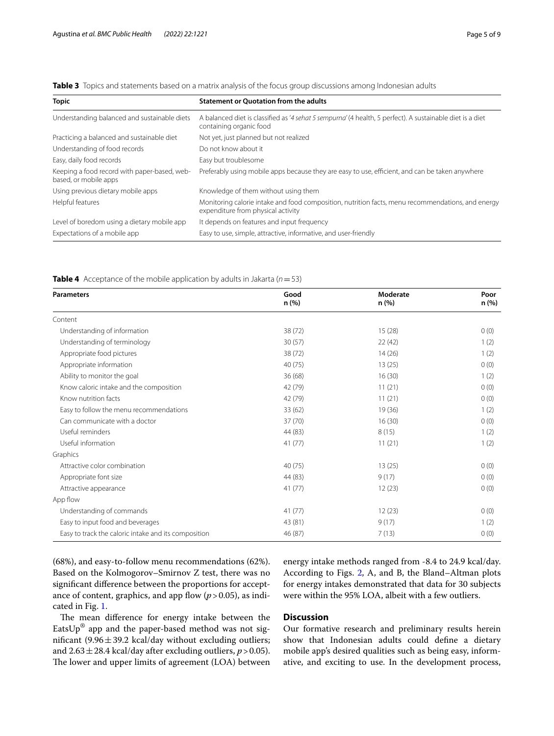<span id="page-4-1"></span>**Table 3** Topics and statements based on a matrix analysis of the focus group discussions among Indonesian adults

| <b>Topic</b>                                                          | <b>Statement or Ouotation from the adults</b>                                                                                           |
|-----------------------------------------------------------------------|-----------------------------------------------------------------------------------------------------------------------------------------|
| Understanding balanced and sustainable diets                          | A balanced diet is classified as '4 sehat 5 sempurna' (4 health, 5 perfect). A sustainable diet is a diet<br>containing organic food    |
| Practicing a balanced and sustainable diet                            | Not yet, just planned but not realized                                                                                                  |
| Understanding of food records                                         | Do not know about it                                                                                                                    |
| Easy, daily food records                                              | Easy but troublesome                                                                                                                    |
| Keeping a food record with paper-based, web-<br>based, or mobile apps | Preferably using mobile apps because they are easy to use, efficient, and can be taken anywhere                                         |
| Using previous dietary mobile apps                                    | Knowledge of them without using them                                                                                                    |
| Helpful features                                                      | Monitoring calorie intake and food composition, nutrition facts, menu recommendations, and energy<br>expenditure from physical activity |
| Level of boredom using a dietary mobile app                           | It depends on features and input frequency                                                                                              |
| Expectations of a mobile app                                          | Easy to use, simple, attractive, informative, and user-friendly                                                                         |

<span id="page-4-0"></span>**Table 4** Acceptance of the mobile application by adults in Jakarta ( $n = 53$ )

| <b>Parameters</b>                                    | Good    | Moderate | Poor  |
|------------------------------------------------------|---------|----------|-------|
|                                                      | n (%)   | n (%)    | n (%) |
| Content                                              |         |          |       |
| Understanding of information                         | 38(72)  | 15(28)   | 0(0)  |
| Understanding of terminology                         | 30(57)  | 22(42)   | 1(2)  |
| Appropriate food pictures                            | 38 (72) | 14(26)   | 1(2)  |
| Appropriate information                              | 40 (75) | 13(25)   | 0(0)  |
| Ability to monitor the goal                          | 36(68)  | 16(30)   | 1(2)  |
| Know caloric intake and the composition              | 42 (79) | 11(21)   | 0(0)  |
| Know nutrition facts                                 | 42 (79) | 11(21)   | 0(0)  |
| Easy to follow the menu recommendations              | 33(62)  | 19(36)   | 1(2)  |
| Can communicate with a doctor                        | 37(70)  | 16(30)   | 0(0)  |
| Useful reminders                                     | 44 (83) | 8(15)    | 1(2)  |
| Useful information                                   | 41(77)  | 11(21)   | 1(2)  |
| Graphics                                             |         |          |       |
| Attractive color combination                         | 40 (75) | 13(25)   | 0(0)  |
| Appropriate font size                                | 44 (83) | 9(17)    | 0(0)  |
| Attractive appearance                                | 41(77)  | 12(23)   | 0(0)  |
| App flow                                             |         |          |       |
| Understanding of commands                            | 41(77)  | 12(23)   | 0(0)  |
| Easy to input food and beverages                     | 43 (81) | 9(17)    | 1(2)  |
| Easy to track the caloric intake and its composition | 46 (87) | 7(13)    | 0(0)  |

(68%), and easy-to-follow menu recommendations (62%). Based on the Kolmogorov–Smirnov Z test, there was no signifcant diference between the proportions for acceptance of content, graphics, and app flow  $(p > 0.05)$ , as indicated in Fig. [1](#page-5-0).

The mean difference for energy intake between the EatsUp® app and the paper-based method was not significant (9.96 $\pm$ 39.2 kcal/day without excluding outliers; and  $2.63 \pm 28.4$  kcal/day after excluding outliers,  $p > 0.05$ ). The lower and upper limits of agreement (LOA) between energy intake methods ranged from -8.4 to 24.9 kcal/day. According to Figs. [2](#page-5-1), A, and B, the Bland–Altman plots for energy intakes demonstrated that data for 30 subjects were within the 95% LOA, albeit with a few outliers.

# **Discussion**

Our formative research and preliminary results herein show that Indonesian adults could defne a dietary mobile app's desired qualities such as being easy, informative, and exciting to use. In the development process,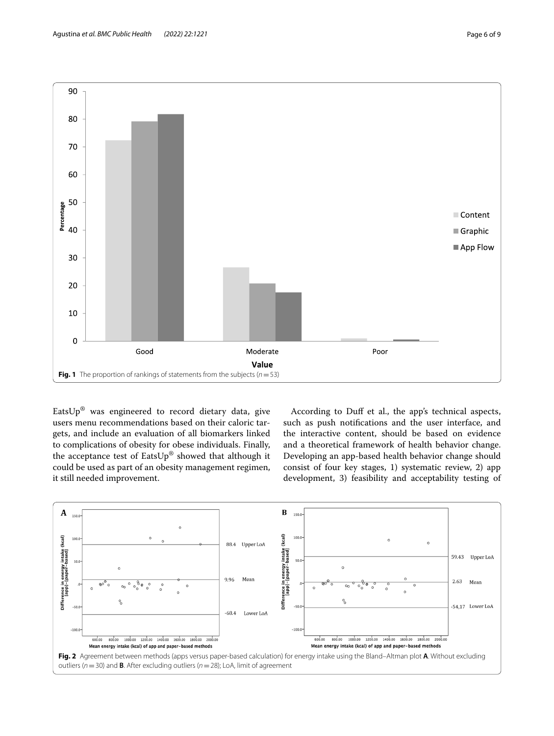

<span id="page-5-0"></span>EatsUp® was engineered to record dietary data, give users menu recommendations based on their caloric targets, and include an evaluation of all biomarkers linked to complications of obesity for obese individuals. Finally, the acceptance test of EatsUp® showed that although it could be used as part of an obesity management regimen, it still needed improvement.

According to Duff et al., the app's technical aspects, such as push notifcations and the user interface, and the interactive content, should be based on evidence and a theoretical framework of health behavior change. Developing an app-based health behavior change should consist of four key stages, 1) systematic review, 2) app development, 3) feasibility and acceptability testing of

<span id="page-5-1"></span>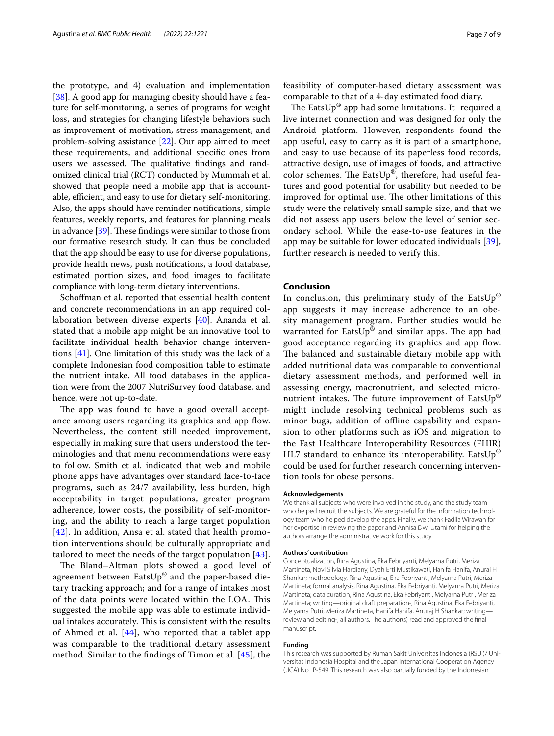the prototype, and 4) evaluation and implementation [[38\]](#page-8-10). A good app for managing obesity should have a feature for self-monitoring, a series of programs for weight loss, and strategies for changing lifestyle behaviors such as improvement of motivation, stress management, and problem-solving assistance [[22\]](#page-7-16). Our app aimed to meet these requirements, and additional specifc ones from users we assessed. The qualitative findings and randomized clinical trial (RCT) conducted by Mummah et al. showed that people need a mobile app that is accountable, efficient, and easy to use for dietary self-monitoring. Also, the apps should have reminder notifcations, simple features, weekly reports, and features for planning meals in advance  $[39]$  $[39]$ . These findings were similar to those from our formative research study. It can thus be concluded that the app should be easy to use for diverse populations, provide health news, push notifcations, a food database, estimated portion sizes, and food images to facilitate compliance with long-term dietary interventions.

Schofman et al. reported that essential health content and concrete recommendations in an app required collaboration between diverse experts [[40\]](#page-8-12). Ananda et al. stated that a mobile app might be an innovative tool to facilitate individual health behavior change interventions [\[41](#page-8-13)]. One limitation of this study was the lack of a complete Indonesian food composition table to estimate the nutrient intake. All food databases in the application were from the 2007 NutriSurvey food database, and hence, were not up-to-date.

The app was found to have a good overall acceptance among users regarding its graphics and app flow. Nevertheless, the content still needed improvement, especially in making sure that users understood the terminologies and that menu recommendations were easy to follow. Smith et al. indicated that web and mobile phone apps have advantages over standard face-to-face programs, such as 24/7 availability, less burden, high acceptability in target populations, greater program adherence, lower costs, the possibility of self-monitoring, and the ability to reach a large target population [[42](#page-8-14)]. In addition, Ansa et al. stated that health promotion interventions should be culturally appropriate and tailored to meet the needs of the target population [[43](#page-8-15)].

The Bland–Altman plots showed a good level of agreement between EatsUp® and the paper-based dietary tracking approach; and for a range of intakes most of the data points were located within the LOA. This suggested the mobile app was able to estimate individual intakes accurately. This is consistent with the results of Ahmed et al.  $[44]$  $[44]$  $[44]$ , who reported that a tablet app was comparable to the traditional dietary assessment method. Similar to the fndings of Timon et al. [[45\]](#page-8-17), the feasibility of computer-based dietary assessment was comparable to that of a 4-day estimated food diary.

The EatsUp<sup>®</sup> app had some limitations. It required a live internet connection and was designed for only the Android platform. However, respondents found the app useful, easy to carry as it is part of a smartphone, and easy to use because of its paperless food records, attractive design, use of images of foods, and attractive color schemes. The EatsUp®, therefore, had useful features and good potential for usability but needed to be improved for optimal use. The other limitations of this study were the relatively small sample size, and that we did not assess app users below the level of senior secondary school. While the ease-to-use features in the app may be suitable for lower educated individuals [[39\]](#page-8-11), further research is needed to verify this.

#### **Conclusion**

In conclusion, this preliminary study of the EatsUp® app suggests it may increase adherence to an obesity management program. Further studies would be warranted for EatsUp® and similar apps. The app had good acceptance regarding its graphics and app flow. The balanced and sustainable dietary mobile app with added nutritional data was comparable to conventional dietary assessment methods, and performed well in assessing energy, macronutrient, and selected micronutrient intakes. The future improvement of  $EastUp^{\circledast}$ might include resolving technical problems such as minor bugs, addition of offline capability and expansion to other platforms such as iOS and migration to the Fast Healthcare Interoperability Resources (FHIR) HL7 standard to enhance its interoperability. EatsUp<sup>®</sup> could be used for further research concerning intervention tools for obese persons.

#### **Acknowledgements**

We thank all subjects who were involved in the study, and the study team who helped recruit the subjects. We are grateful for the information technology team who helped develop the apps. Finally, we thank Fadila Wirawan for her expertise in reviewing the paper and Annisa Dwi Utami for helping the authors arrange the administrative work for this study.

#### **Authors' contribution**

Conceptualization, Rina Agustina, Eka Febriyanti, Melyarna Putri, Meriza Martineta, Novi Silvia Hardiany, Dyah Erti Mustikawati, Hanifa Hanifa, Anuraj H Shankar; methodology, Rina Agustina, Eka Febriyanti, Melyarna Putri, Meriza Martineta; formal analysis, Rina Agustina, Eka Febriyanti, Melyarna Putri, Meriza Martineta; data curation, Rina Agustina, Eka Febriyanti, Melyarna Putri, Meriza Martineta; writing—original draft preparation-, Rina Agustina, Eka Febriyanti, Melyarna Putri, Meriza Martineta, Hanifa Hanifa, Anuraj H Shankar; writing review and editing-, all authors. The author(s) read and approved the fnal manuscript.

#### **Funding**

This research was supported by Rumah Sakit Universitas Indonesia (RSUI)/ Universitas Indonesia Hospital and the Japan International Cooperation Agency (JICA) No. IP-549. This research was also partially funded by the Indonesian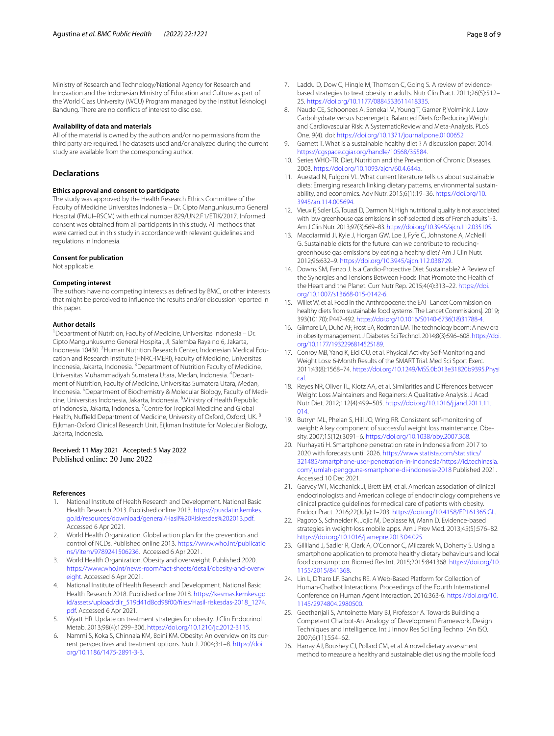Ministry of Research and Technology/National Agency for Research and Innovation and the Indonesian Ministry of Education and Culture as part of the World Class University (WCU) Program managed by the Institut Teknologi Bandung. There are no conficts of interest to disclose.

#### **Availability of data and materials**

All of the material is owned by the authors and/or no permissions from the third party are required. The datasets used and/or analyzed during the current study are available from the corresponding author.

#### **Declarations**

#### **Ethics approval and consent to participate**

The study was approved by the Health Research Ethics Committee of the Faculty of Medicine Universitas Indonesia – Dr. Cipto Mangunkusumo General Hospital (FMUI–RSCM) with ethical number 829/UN2.F1/ETIK/2017. Informed consent was obtained from all participants in this study. All methods that were carried out in this study in accordance with relevant guidelines and regulations in Indonesia.

#### **Consent for publication**

Not applicable.

#### **Competing interest**

The authors have no competing interests as defned by BMC, or other interests that might be perceived to infuence the results and/or discussion reported in this paper.

#### **Author details**

<sup>1</sup> Department of Nutrition, Faculty of Medicine, Universitas Indonesia - Dr. Cipto Mangunkusumo General Hospital, Jl, Salemba Raya no 6, Jakarta, Indonesia 10430. <sup>2</sup> Human Nutrition Research Center, Indonesian Medical Education and Research Institute (HNRC-IMERI), Faculty of Medicine, Universitas Indonesia, Jakarta, Indonesia. <sup>3</sup> Department of Nutrition Faculty of Medicine, Universitas Muhammadiyah Sumatera Utara, Medan, Indonesia. <sup>4</sup>Department of Nutrition, Faculty of Medicine, Universitas Sumatera Utara, Medan, Indonesia. <sup>5</sup> Department of Biochemistry & Molecular Biology, Faculty of Medicine, Universitas Indonesia, Jakarta, Indonesia. <sup>6</sup>Ministry of Health Republic of Indonesia, Jakarta, Indonesia. <sup>7</sup> Centre for Tropical Medicine and Global Health, Nuffield Department of Medicine, University of Oxford, Oxford, UK. 8 Eijkman-Oxford Clinical Research Unit, Eijkman Institute for Molecular Biology, Jakarta, Indonesia.

# Received: 11 May 2021 Accepted: 5 May 2022<br>Published online: 20 June 2022

#### **References**

- <span id="page-7-0"></span>1. National Institute of Health Research and Development. National Basic Health Research 2013. Published online 2013. [https://pusdatin.kemkes.](https://pusdatin.kemkes.go.id/resources/download/general/Hasil%20Riskesdas%202013.pdf.) [go.id/resources/download/general/Hasil%20Riskesdas%202013.pdf.](https://pusdatin.kemkes.go.id/resources/download/general/Hasil%20Riskesdas%202013.pdf.) Accessed 6 Apr 2021.
- <span id="page-7-1"></span>2. World Health Organization. Global action plan for the prevention and control of NCDs. Published online 2013. [https://www.who.int/publicatio](https://www.who.int/publications/i/item/9789241506236) [ns/i/item/9789241506236](https://www.who.int/publications/i/item/9789241506236). Accessed 6 Apr 2021.
- <span id="page-7-2"></span>3. World Health Organization. Obesity and overweight. Published 2020. [https://www.who.int/news-room/fact-sheets/detail/obesity-and-overw](https://www.who.int/news-room/fact-sheets/detail/obesity-and-overweight) [eight](https://www.who.int/news-room/fact-sheets/detail/obesity-and-overweight). Accessed 6 Apr 2021.
- <span id="page-7-3"></span>4. National Institute of Health Research and Development. National Basic Health Research 2018. Published online 2018. [https://kesmas.kemkes.go.](https://kesmas.kemkes.go.id/assets/upload/dir_519d41d8cd98f00/files/Hasil-riskesdas-2018_1274.pdf) [id/assets/upload/dir\\_519d41d8cd98f00/fles/Hasil-riskesdas-2018\\_1274.](https://kesmas.kemkes.go.id/assets/upload/dir_519d41d8cd98f00/files/Hasil-riskesdas-2018_1274.pdf) [pdf.](https://kesmas.kemkes.go.id/assets/upload/dir_519d41d8cd98f00/files/Hasil-riskesdas-2018_1274.pdf) Accessed 6 Apr 2021.
- <span id="page-7-4"></span>5. Wyatt HR. Update on treatment strategies for obesity. J Clin Endocrinol Metab. 2013;98(4):1299–306. [https://doi.org/10.1210/jc.2012-3115.](https://doi.org/10.1210/jc.2012-3115)
- 6. Nammi S, Koka S, Chinnala KM, Boini KM. Obesity: An overview on its current perspectives and treatment options. Nutr J. 2004;3:1–8. [https://doi.](https://doi.org/10.1186/1475-2891-3-3) [org/10.1186/1475-2891-3-3.](https://doi.org/10.1186/1475-2891-3-3)
- <span id="page-7-5"></span>7. Laddu D, Dow C, Hingle M, Thomson C, Going S. A review of evidencebased strategies to treat obesity in adults. Nutr Clin Pract. 2011;26(5):512– 25. <https://doi.org/10.1177/0884533611418335>.
- <span id="page-7-6"></span>8. Naude CE, Schoonees A, Senekal M, Young T, Garner P, Volmink J. Low Carbohydrate versus Isoenergetic Balanced Diets forReducing Weight and Cardiovascular Risk: A SystematicReview and Meta-Analysis. PLoS One. 9(4). doi:<https://doi.org/10.1371/journal.pone.0100652>
- <span id="page-7-7"></span>9. Garnett T. What is a sustainable healthy diet ? A discussion paper. 2014. [https://cgspace.cgiar.org/handle/10568/35584.](https://cgspace.cgiar.org/handle/10568/35584)
- 10. Series WHO-TR. Diet, Nutrition and the Prevention of Chronic Diseases. 2003.<https://doi.org/10.1093/ajcn/60.4.644a>.
- 11. Auestad N, Fulgoni VL. What current literature tells us about sustainable diets: Emerging research linking dietary patterns, environmental sustainability, and economics. Adv Nutr. 2015;6(1):19–36. [https://doi.org/10.](https://doi.org/10.3945/an.114.005694) [3945/an.114.005694.](https://doi.org/10.3945/an.114.005694)
- 12. Vieux F, Soler LG, Touazi D, Darmon N. High nutritional quality is not associated with low greenhouse gas emissions in self-selected diets of French adults1-3. Am J Clin Nutr. 2013;97(3):569–83. <https://doi.org/10.3945/ajcn.112.035105>.
- 13. Macdiarmid JI, Kyle J, Horgan GW, Loe J, Fyfe C, Johnstone A, McNeill G. Sustainable diets for the future: can we contribute to reducinggreenhouse gas emissions by eating a healthy diet? Am J Clin Nutr. 2012;96:632–9. <https://doi.org/10.3945/ajcn.112.038729>.
- <span id="page-7-8"></span>14. Downs SM, Fanzo J. Is a Cardio-Protective Diet Sustainable? A Review of the Synergies and Tensions Between Foods That Promote the Health of the Heart and the Planet. Curr Nutr Rep. 2015;4(4):313–22. [https://doi.](https://doi.org/10.1007/s13668-015-0142-6) [org/10.1007/s13668-015-0142-6.](https://doi.org/10.1007/s13668-015-0142-6)
- <span id="page-7-9"></span>15. Willet W, et al. Food in the Anthropocene: the EAT–Lancet Commission on healthy diets from sustainable food systems. The Lancet Commissions|. 2019; 393(10170): P447-492. [https://doi.org/10.1016/S0140-6736\(18\)31788-4](https://doi.org/10.1016/S0140-6736(18)31788-4).
- <span id="page-7-10"></span>16. Gilmore LA, Duhé AF, Frost EA, Redman LM. The technology boom: A new era in obesity management. J Diabetes Sci Technol. 2014;8(3):596–608. [https://doi.](https://doi.org/10.1177/1932296814525189) [org/10.1177/1932296814525189.](https://doi.org/10.1177/1932296814525189)
- <span id="page-7-11"></span>17. Conroy MB, Yang K, Elci OU, et al. Physical Activity Self-Monitoring and Weight Loss: 6-Month Results of the SMART Trial. Med Sci Sport Exerc. 2011;43(8):1568–74. [https://doi.org/10.1249/MSS.0b013e31820b9395.Physi](https://doi.org/10.1249/MSS.0b013e31820b9395.Physical) [cal.](https://doi.org/10.1249/MSS.0b013e31820b9395.Physical)
- <span id="page-7-12"></span>18. Reyes NR, Oliver TL, Klotz AA, et al. Similarities and Diferences between Weight Loss Maintainers and Regainers: A Qualitative Analysis. J Acad Nutr Diet. 2012;112(4):499–505. [https://doi.org/10.1016/j.jand.2011.11.](https://doi.org/10.1016/j.jand.2011.11.014) [014.](https://doi.org/10.1016/j.jand.2011.11.014)
- <span id="page-7-13"></span>19. Butryn ML, Phelan S, Hill JO, Wing RR. Consistent self-monitoring of weight: A key component of successful weight loss maintenance. Obesity. 2007;15(12):3091–6. [https://doi.org/10.1038/oby.2007.368.](https://doi.org/10.1038/oby.2007.368)
- <span id="page-7-14"></span>20. Nurhayati H. Smartphone penetration rate in Indonesia from 2017 to 2020 with forecasts until 2026. [https://www.statista.com/statistics/](https://www.statista.com/statistics/321485/smartphone-user-penetration-in-indonesia/https://id.techinasia.com/jumlah-pengguna-smartphone-di-indonesia-2018) [321485/smartphone-user-penetration-in-indonesia/https://id.techinasia.](https://www.statista.com/statistics/321485/smartphone-user-penetration-in-indonesia/https://id.techinasia.com/jumlah-pengguna-smartphone-di-indonesia-2018) [com/jumlah-pengguna-smartphone-di-indonesia-2018](https://www.statista.com/statistics/321485/smartphone-user-penetration-in-indonesia/https://id.techinasia.com/jumlah-pengguna-smartphone-di-indonesia-2018) Published 2021. Accessed 10 Dec 2021.
- <span id="page-7-15"></span>21. Garvey WT, Mechanick JI, Brett EM, et al. American association of clinical endocrinologists and American college of endocrinology comprehensive clinical practice guidelines for medical care of patients with obesity. Endocr Pract. 2016;22(July):1–203. <https://doi.org/10.4158/EP161365.GL>.
- <span id="page-7-16"></span>22. Pagoto S, Schneider K, Jojic M, Debiasse M, Mann D. Evidence-based strategies in weight-loss mobile apps. Am J Prev Med. 2013;45(5):576–82. <https://doi.org/10.1016/j.amepre.2013.04.025>.
- <span id="page-7-17"></span>23. Gilliland J, Sadler R, Clark A, O'Connor C, Milczarek M, Doherty S. Using a smartphone application to promote healthy dietary behaviours and local food consumption. Biomed Res Int. 2015;2015:841368. [https://doi.org/10.](https://doi.org/10.1155/2015/841368) [1155/2015/841368](https://doi.org/10.1155/2015/841368).
- <span id="page-7-18"></span>24. Lin L, D'haro LF, Banchs RE. A Web-Based Platform for Collection of Human-Chatbot Interactions. Proceedings of the Fourth International Conference on Human Agent Interaction. 2016:363-6. [https://doi.org/10.](https://doi.org/10.1145/2974804.2980500) [1145/2974804.2980500.](https://doi.org/10.1145/2974804.2980500)
- <span id="page-7-19"></span>25. Geethanjali S, Antoinette Mary BJ, Professor A. Towards Building a Competent Chatbot-An Analogy of Development Framework, Design Techniques and Intelligence. Int J Innov Res Sci Eng Technol (An ISO. 2007;6(11):554–62.
- <span id="page-7-20"></span>26. Harray AJ, Boushey CJ, Pollard CM, et al. A novel dietary assessment method to measure a healthy and sustainable diet using the mobile food